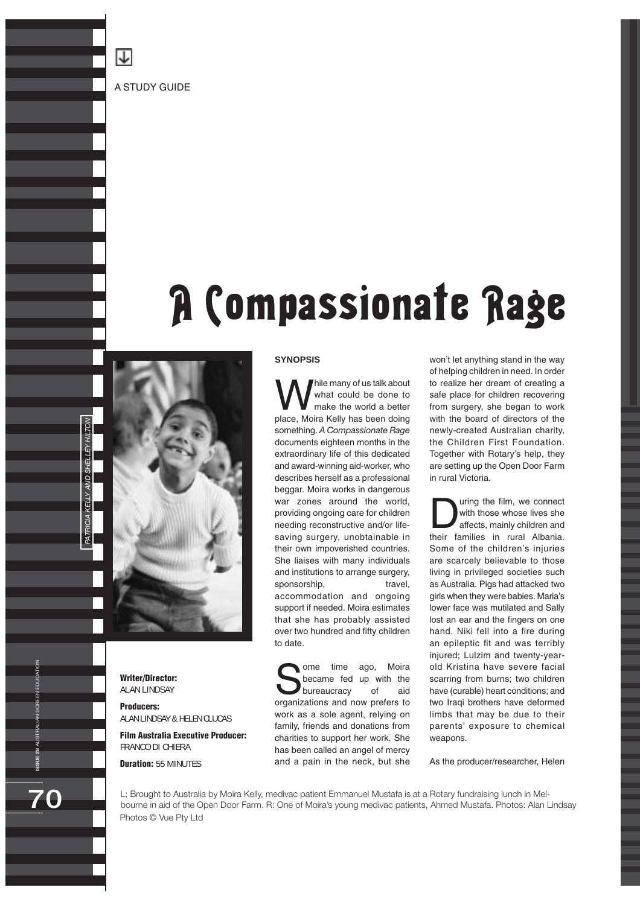

A STUDY GUIDE

∣√

# STROPSIS<br>
STROPSIS<br>
STROPSIS<br>
STROPSIS<br>
Of helping children in need. In order



**Writer/Director:** ALAN LINDSAY

**Producers:**  ALAN LINDSAY & HELEN CLUCAS

**Film Australia Executive Producer:**  FRANCO DI CHIERA

**Duration:** 55 MINUTES

# **SYNOPSIS**

**While many of us talk about**<br>
make the world a better<br>
place, Moira Kelly has been doing what could be done to make the world a better something. *A Compassionate Rage* documents eighteen months in the extraordinary life of this dedicated and award-winning aid-worker, who describes herself as a professional beggar. Moira works in dangerous war zones around the world, providing ongoing care for children needing reconstructive and/or lifesaving surgery, unobtainable in their own impoverished countries. She liaises with many individuals and institutions to arrange surgery, sponsorship, travel, accommodation and ongoing support if needed. Moira estimates that she has probably assisted over two hundred and fifty children to date.

Some time ago, Moira<br>became fed up with the<br>bureaucracy of aid became fed up with the bureaucracy of aid organizations and now prefers to work as a sole agent, relying on family, friends and donations from charities to support her work. She has been called an angel of mercy and a pain in the neck, but she

won't let anything stand in the way of helping children in need. In order to realize her dream of creating a safe place for children recovering from surgery, she began to work with the board of directors of the newly-created Australian charity, the Children First Foundation. Together with Rotary's help, they are setting up the Open Door Farm in rural Victoria.

with those whose lives she<br>affects, mainly children and<br>their families in rural Albania with those whose lives she their families in rural Albania. Some of the children's injuries are scarcely believable to those living in privileged societies such as Australia. Pigs had attacked two girls when they were babies. Maria's lower face was mutilated and Sally lost an ear and the fingers on one hand. Niki fell into a fire during an epileptic fit and was terribly injured: Lulzim and twenty-yearold Kristina have severe facial scarring from burns; two children have (curable) heart conditions; and two Iraqi brothers have deformed limbs that may be due to their parents' exposure to chemical weapons.

As the producer/researcher, Helen

Photos © Vue Pty Ltd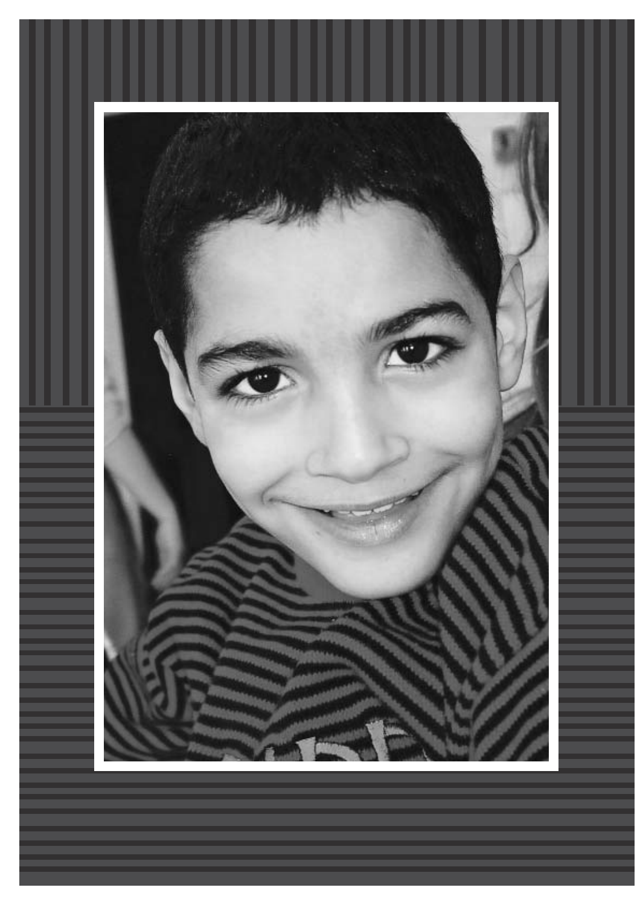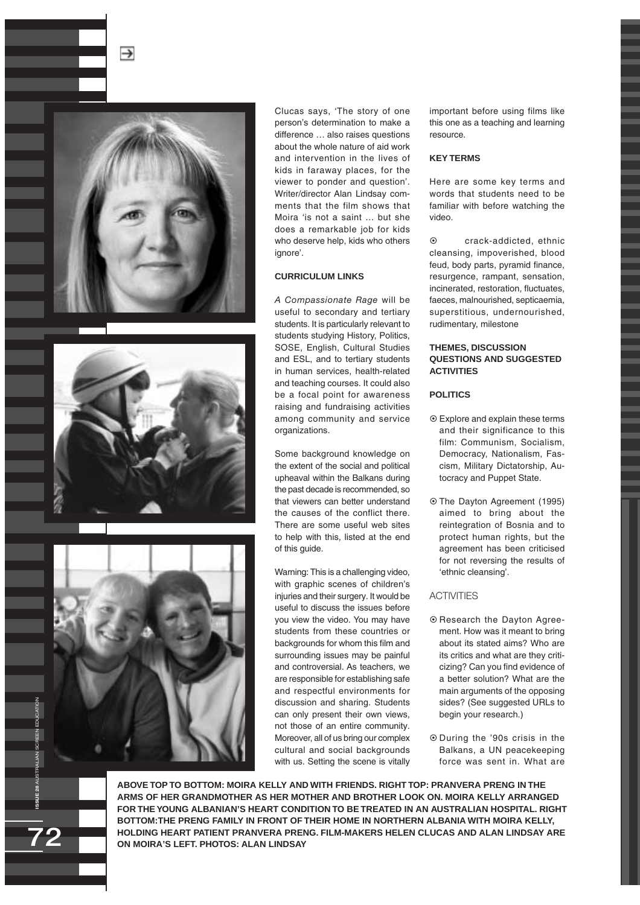⋻







Clucas says, 'The story of one person's determination to make a difference … also raises questions about the whole nature of aid work and intervention in the lives of kids in faraway places, for the viewer to ponder and question'. Writer/director Alan Lindsay comments that the film shows that Moira 'is not a saint ... but she does a remarkable job for kids who deserve help, kids who others ignore'.

## **CURRICULUM LINKS**

*A Compassionate Rage* will be useful to secondary and tertiary students. It is particularly relevant to students studying History, Politics, SOSE, English, Cultural Studies and ESL, and to tertiary students in human services, health-related and teaching courses. It could also be a focal point for awareness raising and fundraising activities among community and service organizations.

Some background knowledge on the extent of the social and political upheaval within the Balkans during the past decade is recommended, so that viewers can better understand the causes of the conflict there. There are some useful web sites to help with this, listed at the end of this guide.

Warning: This is a challenging video, with graphic scenes of children's injuries and their surgery. It would be useful to discuss the issues before you view the video. You may have students from these countries or backgrounds for whom this film and surrounding issues may be painful and controversial. As teachers, we are responsible for establishing safe and respectful environments for discussion and sharing. Students can only present their own views, not those of an entire community. Moreover, all of us bring our complex cultural and social backgrounds with us. Setting the scene is vitally

important before using films like this one as a teaching and learning resource.

## **KEY TERMS**

Here are some key terms and words that students need to be familiar with before watching the video.

 $\odot$  crack-addicted, ethnic cleansing, impoverished, blood feud, body parts, pyramid finance, resurgence, rampant, sensation, incinerated, restoration, fluctuates, faeces, malnourished, septicaemia, superstitious, undernourished, rudimentary, milestone

## **THEMES, DISCUSSION QUESTIONS AND SUGGESTED ACTIVITIES**

## **POLITICS**

- ! Explore and explain these terms and their significance to this film: Communism, Socialism, Democracy, Nationalism, Fascism, Military Dictatorship, Autocracy and Puppet State.
- ! The Dayton Agreement (1995) aimed to bring about the reintegration of Bosnia and to protect human rights, but the agreement has been criticised for not reversing the results of 'ethnic cleansing'.

## **ACTIVITIES**

- $\odot$  Research the Dayton Agreement. How was it meant to bring about its stated aims? Who are its critics and what are they criticizing? Can you find evidence of a better solution? What are the main arguments of the opposing sides? (See suggested URLs to begin your research.)
- ! During the '90s crisis in the Balkans, a UN peacekeeping force was sent in. What are

**ABOVE TOP TO BOTTOM: MOIRA KELLY AND WITH FRIENDS. RIGHT TOP: PRANVERA PRENG IN THE ARMS OF HER GRANDMOTHER AS HER MOTHER AND BROTHER LOOK ON. MOIRA KELLY ARRANGED FOR THE YOUNG ALBANIAN'S HEART CONDITION TO BE TREATED IN AN AUSTRALIAN HOSPITAL. RIGHT BOTTOM:THE PRENG FAMILY IN FRONT OF THEIR HOME IN NORTHERN ALBANIA WITH MOIRA KELLY,**  discussion and sharing. Students sides? (See suggested URLs to<br>
not those of an entire community.<br>
Moreover, all of us bring our complex<br>
Moreover, all of us bring our complex<br>
With us. Setting the scene is vitally<br> **ABOVE**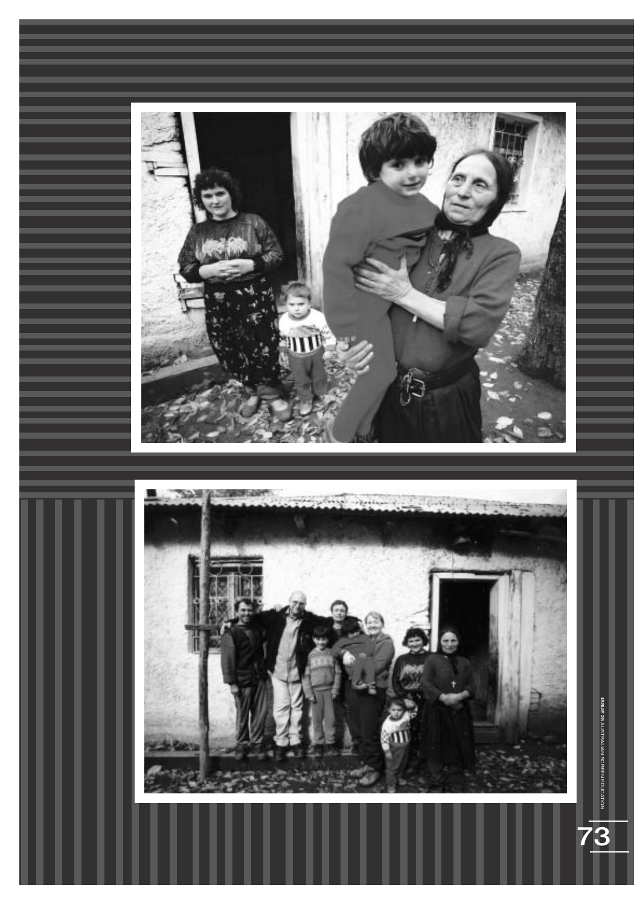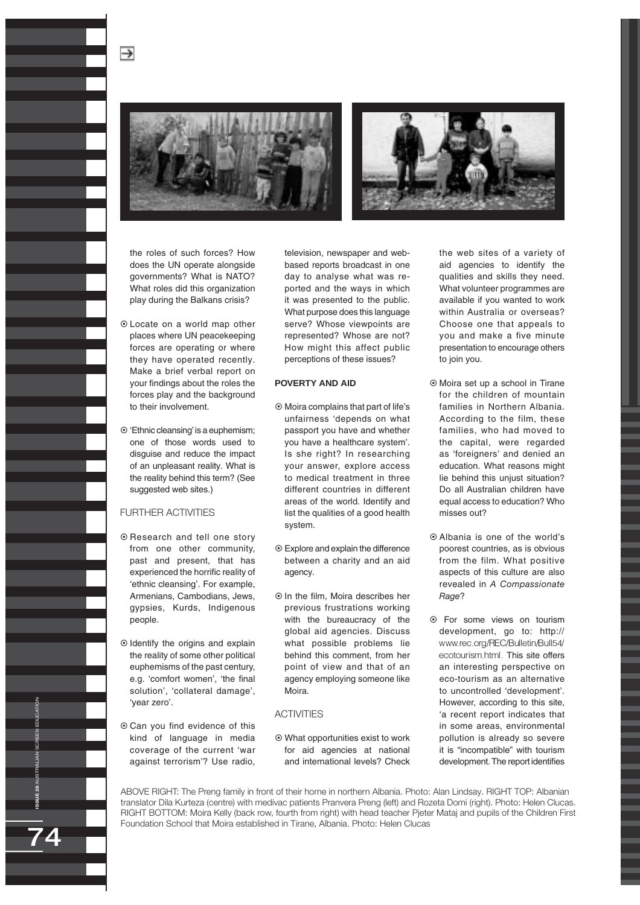





the roles of such forces? How does the UN operate alongside governments? What is NATO? What roles did this organization play during the Balkans crisis?

⋻

- ! Locate on a world map other places where UN peacekeeping forces are operating or where they have operated recently. Make a brief verbal report on your findings about the roles the forces play and the background to their involvement.
- ! 'Ethnic cleansing' is a euphemism; one of those words used to disguise and reduce the impact of an unpleasant reality. What is the reality behind this term? (See suggested web sites.)

## FURTHER ACTIVITIES

- $\odot$  Research and tell one story from one other community, past and present, that has experienced the horrific reality of 'ethnic cleansing'. For example, Armenians, Cambodians, Jews, gypsies, Kurds, Indigenous people.
- $\odot$  Identify the origins and explain the reality of some other political euphemisms of the past century, e.g. 'comfort women', 'the final solution', 'collateral damage', 'year zero'.
- $\odot$  Can you find evidence of this kind of language in media coverage of the current 'war against terrorism'? Use radio,

television, newspaper and webbased reports broadcast in one day to analyse what was reported and the ways in which it was presented to the public. What purpose does this language serve? Whose viewpoints are represented? Whose are not? How might this affect public perceptions of these issues?

## **POVERTY AND AID**

- $<sup>°</sup>$  Moira complains that part of life's</sup> unfairness 'depends on what passport you have and whether you have a healthcare system'. Is she right? In researching your answer, explore access to medical treatment in three different countries in different areas of the world. Identify and list the qualities of a good health system.
- $$\odot$  Explore and explain the difference$ between a charity and an aid agency.
- $\odot$  In the film, Moira describes her previous frustrations working with the bureaucracy of the global aid agencies. Discuss what possible problems lie behind this comment, from her point of view and that of an agency employing someone like Moira.

# **ACTIVITIES**

! What opportunities exist to work for aid agencies at national and international levels? Check

the web sites of a variety of aid agencies to identify the qualities and skills they need. What volunteer programmes are available if you wanted to work within Australia or overseas? Choose one that appeals to you and make a five minute presentation to encourage others to join you.

- ! Moira set up a school in Tirane for the children of mountain families in Northern Albania. According to the film, these families, who had moved to the capital, were regarded as 'foreigners' and denied an education. What reasons might lie behind this unjust situation? Do all Australian children have equal access to education? Who misses out?
- $\odot$  Albania is one of the world's poorest countries, as is obvious from the film. What positive aspects of this culture are also revealed in *A Compassionate Rage*?
- $\odot$  For some views on tourism development, go to: http:// www.rec.org/REC/Bulletin/Bull54/ ecotourism.html. This site offers an interesting perspective on eco-tourism as an alternative to uncontrolled 'development'. However, according to this site, 'a recent report indicates that in some areas, environmental pollution is already so severe it is "incompatible" with tourism development. The report identifies

ABOVE RIGHT: The Preng family in front of their home in northern Albania. Photo: Alan Lindsay. RIGHT TOP: Albanian translator Dila Kurteza (centre) with medivac patients Pranvera Preng (left) and Rozeta Domi (right). Photo: Helen Clucas. RIGHT BOTTOM: Moira Kelly (back row, fourth from right) with head teacher Pjeter Mataj and pupils of the Children First Foundation School that Moira established in Tirane, Albania. Photo: Helen Clucas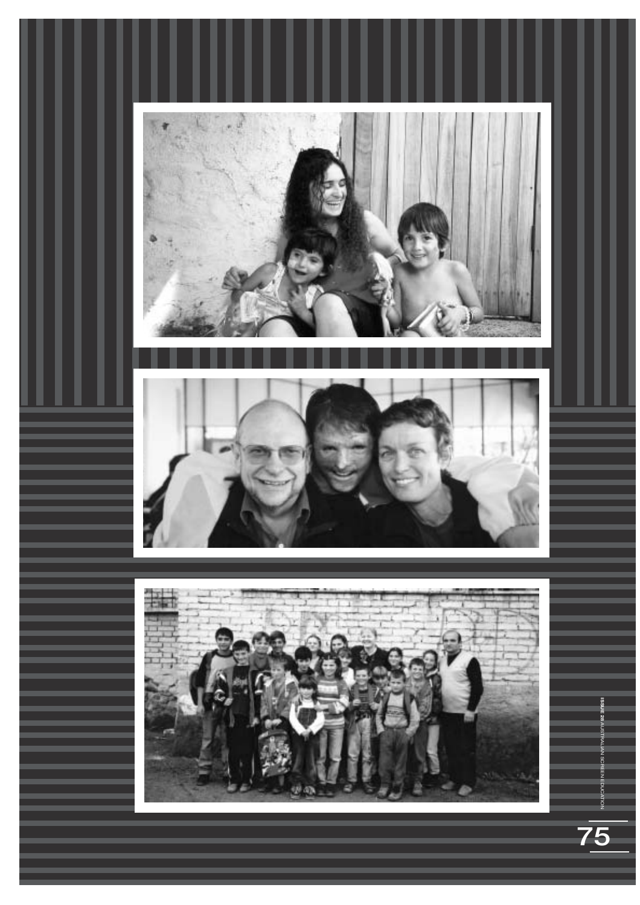

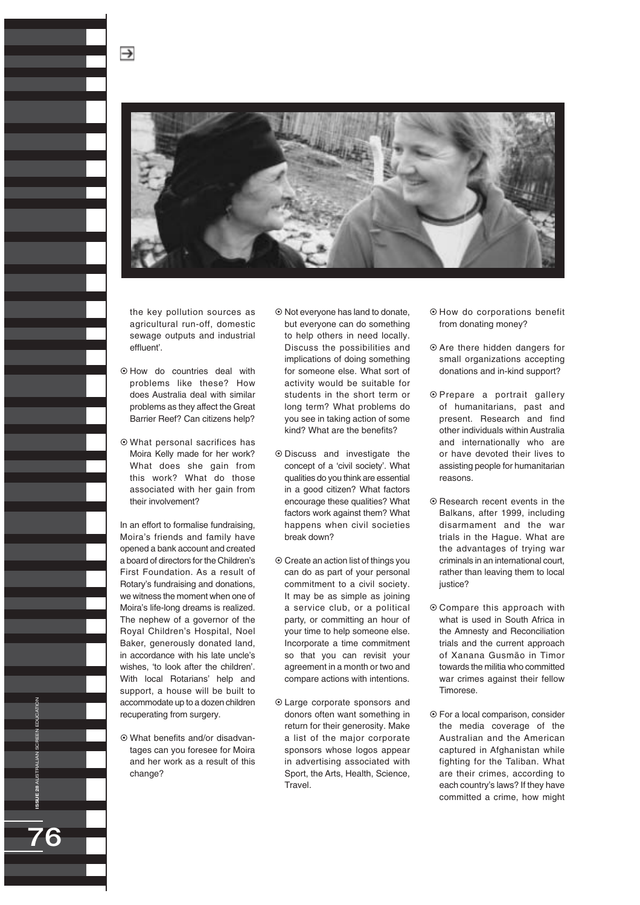



the key pollution sources as agricultural run-off, domestic sewage outputs and industrial effluent'.

⋻

- $\odot$  How do countries deal with problems like these? How does Australia deal with similar problems as they affect the Great Barrier Reef? Can citizens help?
- ! What personal sacrifices has Moira Kelly made for her work? What does she gain from this work? What do those associated with her gain from their involvement?

In an effort to formalise fundraising, Moira's friends and family have opened a bank account and created a board of directors for the Children's First Foundation. As a result of Rotary's fundraising and donations, we witness the moment when one of Moira's life-long dreams is realized. The nephew of a governor of the Royal Children's Hospital, Noel Baker, generously donated land, in accordance with his late uncle's wishes, 'to look after the children'. With local Rotarians' help and support, a house will be built to accommodate up to a dozen children recuperating from surgery.

 $\odot$  What benefits and/or disadvantages can you foresee for Moira and her work as a result of this change?

- ! Not everyone has land to donate, but everyone can do something to help others in need locally. Discuss the possibilities and implications of doing something for someone else. What sort of activity would be suitable for students in the short term or long term? What problems do you see in taking action of some kind? What are the benefits?
- ! Discuss and investigate the concept of a 'civil society'. What qualities do you think are essential in a good citizen? What factors encourage these qualities? What factors work against them? What happens when civil societies break down?
- $\odot$  Create an action list of things you can do as part of your personal commitment to a civil society. It may be as simple as joining a service club, or a political party, or committing an hour of your time to help someone else. Incorporate a time commitment so that you can revisit your agreement in a month or two and compare actions with intentions.
- ! Large corporate sponsors and donors often want something in return for their generosity. Make a list of the major corporate sponsors whose logos appear in advertising associated with Sport, the Arts, Health, Science, Travel.
- $\odot$  How do corporations benefit from donating money?
- $\odot$  Are there hidden dangers for small organizations accepting donations and in-kind support?
- O Prepare a portrait gallery of humanitarians, past and present. Research and find other individuals within Australia and internationally who are or have devoted their lives to assisting people for humanitarian reasons.
- $\odot$  Research recent events in the Balkans, after 1999, including disarmament and the war trials in the Hague. What are the advantages of trying war criminals in an international court, rather than leaving them to local justice?
- $\odot$  Compare this approach with what is used in South Africa in the Amnesty and Reconciliation trials and the current approach of Xanana Gusmão in Timor towards the militia who committed war crimes against their fellow Timorese.
- $\odot$  For a local comparison, consider the media coverage of the Australian and the American captured in Afghanistan while fighting for the Taliban. What are their crimes, according to each country's laws? If they have committed a crime, how might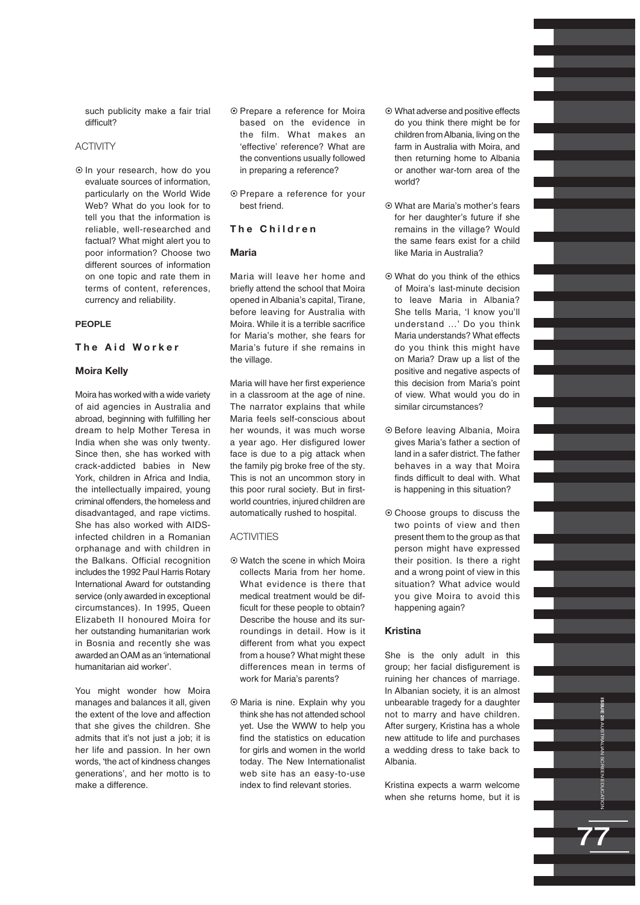such publicity make a fair trial difficult?

# ACTIVITY

 $\odot$  In your research, how do you evaluate sources of information, particularly on the World Wide Web? What do you look for to tell you that the information is reliable, well-researched and factual? What might alert you to poor information? Choose two different sources of information on one topic and rate them in terms of content, references, currency and reliability.

# **PEOPLE**

# **The Aid Worker**

## **Moira Kelly**

Moira has worked with a wide variety of aid agencies in Australia and abroad, beginning with fulfilling her dream to help Mother Teresa in India when she was only twenty. Since then, she has worked with crack-addicted babies in New York, children in Africa and India, the intellectually impaired, young criminal offenders, the homeless and disadvantaged, and rape victims. She has also worked with AIDSinfected children in a Romanian orphanage and with children in the Balkans. Official recognition includes the 1992 Paul Harris Rotary International Award for outstanding service (only awarded in exceptional circumstances). In 1995, Queen Elizabeth II honoured Moira for her outstanding humanitarian work in Bosnia and recently she was awarded an OAM as an 'international humanitarian aid worker'.

You might wonder how Moira manages and balances it all, given the extent of the love and affection that she gives the children. She admits that it's not just a job; it is her life and passion. In her own words, 'the act of kindness changes generations', and her motto is to make a difference.

- ! Prepare a reference for Moira based on the evidence in the film. What makes an 'effective' reference? What are the conventions usually followed in preparing a reference?
- ! Prepare a reference for your best friend.

## **The Children**

## **Maria**

Maria will leave her home and briefly attend the school that Moira opened in Albania's capital, Tirane, before leaving for Australia with Moira. While it is a terrible sacrifice for Maria's mother, she fears for Maria's future if she remains in the village.

Maria will have her first experience in a classroom at the age of nine. The narrator explains that while Maria feels self-conscious about her wounds, it was much worse a year ago. Her disfigured lower face is due to a pig attack when the family pig broke free of the sty. This is not an uncommon story in this poor rural society. But in firstworld countries, injured children are automatically rushed to hospital.

#### ACTIVITIES

- $\odot$  Watch the scene in which Moira collects Maria from her home. What evidence is there that medical treatment would be difficult for these people to obtain? Describe the house and its surroundings in detail. How is it different from what you expect from a house? What might these differences mean in terms of work for Maria's parents?
- ! Maria is nine. Explain why you think she has not attended school yet. Use the WWW to help you find the statistics on education for girls and women in the world today. The New Internationalist web site has an easy-to-use index to find relevant stories.
- $\odot$  What adverse and positive effects do you think there might be for children from Albania, living on the farm in Australia with Moira, and then returning home to Albania or another war-torn area of the world?
- ! What are Maria's mother's fears for her daughter's future if she remains in the village? Would the same fears exist for a child like Maria in Australia?
- ! What do you think of the ethics of Moira's last-minute decision to leave Maria in Albania? She tells Maria, 'I know you'll understand …' Do you think Maria understands? What effects do you think this might have on Maria? Draw up a list of the positive and negative aspects of this decision from Maria's point of view. What would you do in similar circumstances?
- $\odot$  Before leaving Albania, Moira gives Maria's father a section of land in a safer district. The father behaves in a way that Moira finds difficult to deal with. What is happening in this situation?
- $\odot$  Choose groups to discuss the two points of view and then present them to the group as that person might have expressed their position. Is there a right and a wrong point of view in this situation? What advice would you give Moira to avoid this happening again?

# **Kristina**

She is the only adult in this group; her facial disfigurement is ruining her chances of marriage. In Albanian society, it is an almost unbearable tragedy for a daughter not to marry and have children. After surgery, Kristina has a whole new attitude to life and purchases a wedding dress to take back to Albania.

Kristina expects a warm welcome when she returns home, but it is

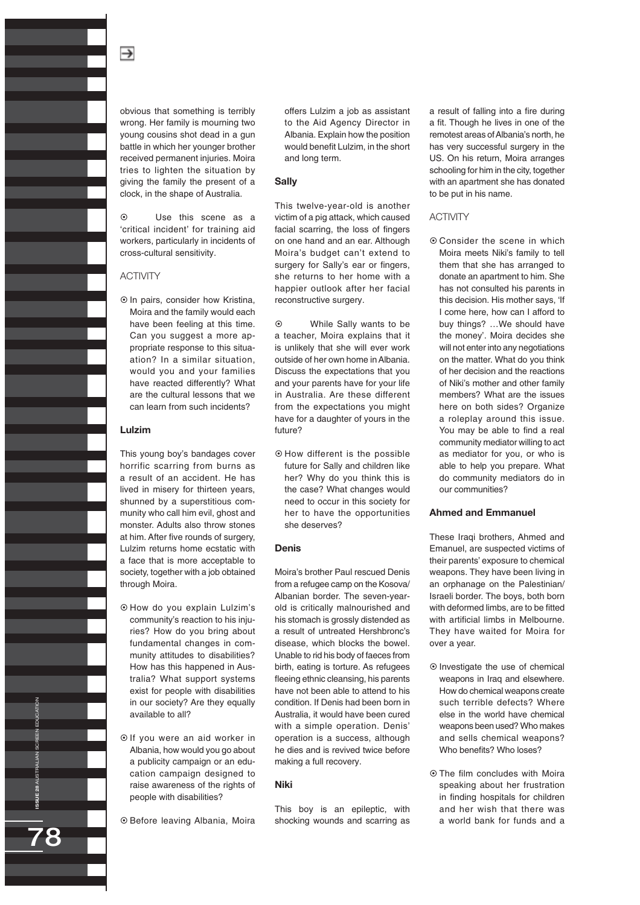

obvious that something is terribly wrong. Her family is mourning two young cousins shot dead in a gun battle in which her younger brother received permanent injuries. Moira tries to lighten the situation by giving the family the present of a clock, in the shape of Australia.

Use this scene as a 'critical incident' for training aid workers, particularly in incidents of cross-cultural sensitivity.

## ACTIVITY

⋻

 $\odot$  In pairs, consider how Kristina, Moira and the family would each have been feeling at this time. Can you suggest a more appropriate response to this situaation? In a similar situation, would you and your families have reacted differently? What are the cultural lessons that we can learn from such incidents?

## **Lulzim**

This young boy's bandages cover horrific scarring from burns as a result of an accident. He has lived in misery for thirteen years, shunned by a superstitious community who call him evil, ghost and monster. Adults also throw stones at him. After five rounds of surgery, Lulzim returns home ecstatic with a face that is more acceptable to society, together with a job obtained through Moira.

- $\odot$  How do you explain Lulzim's community's reaction to his injuries? How do you bring about fundamental changes in community attitudes to disabilities? How has this happened in Australia? What support systems exist for people with disabilities in our society? Are they equally available to all?
- $\odot$  If you were an aid worker in Albania, how would you go about a publicity campaign or an education campaign designed to raise awareness of the rights of people with disabilities?
- ! Before leaving Albania, Moira

offers Lulzim a job as assistant to the Aid Agency Director in Albania. Explain how the position would benefit Lulzim, in the short and long term.

# **Sally**

This twelve-year-old is another victim of a pig attack, which caused facial scarring, the loss of fingers on one hand and an ear. Although Moira's budget can't extend to surgery for Sally's ear or fingers, she returns to her home with a happier outlook after her facial reconstructive surgery.

 $\odot$  While Sally wants to be a teacher, Moira explains that it is unlikely that she will ever work outside of her own home in Albania. Discuss the expectations that you and your parents have for your life in Australia. Are these different from the expectations you might have for a daughter of yours in the future?

 $<sup>•</sup>$  How different is the possible</sup> future for Sally and children like her? Why do you think this is the case? What changes would need to occur in this society for her to have the opportunities she deserves?

#### **Denis**

Moira's brother Paul rescued Denis from a refugee camp on the Kosova/ Albanian border. The seven-yearold is critically malnourished and his stomach is grossly distended as a result of untreated Hershbronc's disease, which blocks the bowel. Unable to rid his body of faeces from birth, eating is torture. As refugees fleeing ethnic cleansing, his parents have not been able to attend to his condition. If Denis had been born in Australia, it would have been cured with a simple operation. Denis' operation is a success, although he dies and is revived twice before making a full recovery.

## **Niki**

This boy is an epileptic, with shocking wounds and scarring as a result of falling into a fire during a fit. Though he lives in one of the remotest areas of Albania's north, he has very successful surgery in the US. On his return, Moira arranges schooling for him in the city, together with an apartment she has donated to be put in his name.

## ACTIVITY

 $\odot$  Consider the scene in which Moira meets Niki's family to tell them that she has arranged to donate an apartment to him. She has not consulted his parents in this decision. His mother says, 'If I come here, how can I afford to buy things? …We should have the money'. Moira decides she will not enter into any negotiations on the matter. What do you think of her decision and the reactions of Niki's mother and other family members? What are the issues here on both sides? Organize a roleplay around this issue. You may be able to find a real community mediator willing to act as mediator for you, or who is able to help you prepare. What do community mediators do in our communities?

## **Ahmed and Emmanuel**

These Iraqi brothers, Ahmed and Emanuel, are suspected victims of their parents' exposure to chemical weapons. They have been living in an orphanage on the Palestinian/ Israeli border. The boys, both born with deformed limbs, are to be fitted with artificial limbs in Melbourne. They have waited for Moira for over a year.

- $\odot$  Investigate the use of chemical weapons in Iraq and elsewhere. How do chemical weapons create such terrible defects? Where else in the world have chemical weapons been used? Who makes and sells chemical weapons? Who benefits? Who loses?
- $\odot$  The film concludes with Moira speaking about her frustration in finding hospitals for children and her wish that there was a world bank for funds and a